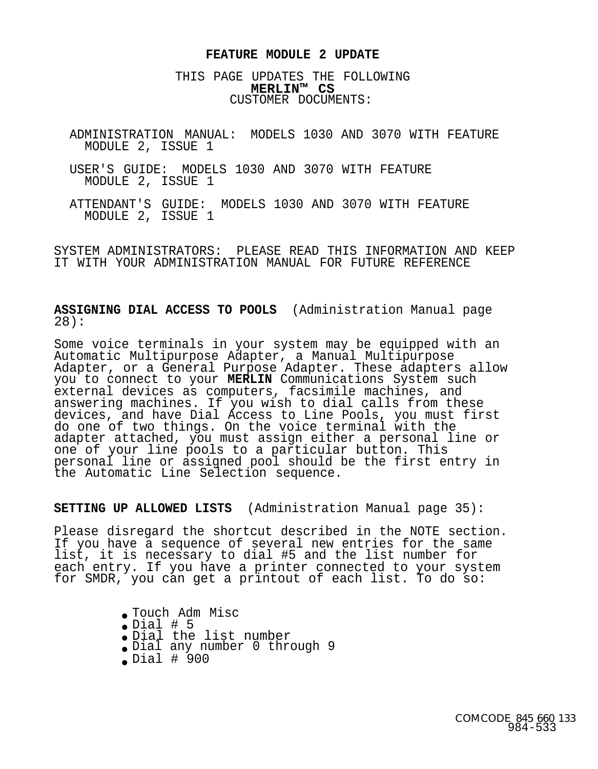## **FEATURE MODULE 2 UPDATE**

THIS PAGE UPDATES THE FOLLOWING **MERLIN™ CS** CUSTOMER DOCUMENTS:

ADMINISTRATION MANUAL: MODELS 1030 AND 3070 WITH FEATURE MODULE 2, ISSUE 1

USER'S GUIDE: MODELS 1030 AND 3070 WITH FEATURE MODULE 2, ISSUE 1

ATTENDANT'S GUIDE: MODELS 1030 AND 3070 WITH FEATURE MODULE 2, ISSUE 1

SYSTEM ADMINISTRATORS: PLEASE READ THIS INFORMATION AND KEEP IT WITH YOUR ADMINISTRATION MANUAL FOR FUTURE REFERENCE

## **ASSIGNING DIAL ACCESS TO POOLS** (Administration Manual page 28):

Some voice terminals in your system may be equipped with an Automatic Multipurpose Adapter, a Manual Multipurpose Adapter, or a General Purpose Adapter. These adapters allow you to connect to your **MERLIN** Communications System such external devices as computers, facsimile machines, and answering machines. If you wish to dial calls from these devices, and have Dial Access to Line Pools, you must first do one of two things. On the voice terminal with the adapter attached, you must assign either a personal line or one of your line pools to a particular button. This personal line or assigned pool should be the first entry in the Automatic Line Selection sequence.

## **SETTING UP ALLOWED LISTS** (Administration Manual page 35):

Please disregard the shortcut described in the NOTE section. If you have a sequence of several new entries for the same list, it is necessary to dial #5 and the list number for each entry. If you have a printer connected to your system for SMDR, you can get a printout of each list. To do so:

- Touch Adm Misc
- Dial # 5
- Dial the list number
- Dial any number 0 through 9
- Dial # 900